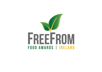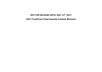# NOT FOR RELEASE UNTIL MAY 12<sup>th</sup> 2017 2017 FreeFrom Food Awards Ireland Winners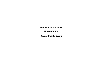# PRODUCT OF THE YEAR

BFree Foods

Sweet Potato Wrap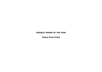# PRODUCT RANGE OF THE YEAR

Tesco Free From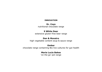### INNOVATION

# Dr. Coys

nutritional chocolate range

# 9 White Deer

extensive gluten-free beer range

# Dan & Monstro

high vegetable content soup & sauce range

# Ombar

chocolate range containing Bio live cultures for gut health

# Maria Lucia Bakes

'on the go' pot range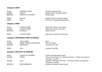# Category: BARS

| <b>GOLD</b>           | <b>CAVEMAN GRUB</b>     | No Grain Granola Bar            |
|-----------------------|-------------------------|---------------------------------|
| <b>SILVER</b>         | <b>KELKIN</b>           | Belgian Milk Chocolate Wafer    |
| <b>BRONZE</b>         | <b>FOODS OF ATHENRY</b> | Rocky Road                      |
| MERIT                 | <b>KELKIN</b>           | Belgian Milk Chocolate Fingers  |
| <b>MERIT</b>          | ALDI                    | Free From Chocolate Biscuit Bar |
| <b>Category: BEER</b> |                         |                                 |
| <b>GOLD</b>           | 9 WHITE DEER            | Stag Saor Gluten Free Stout     |
| CTIVED                | A WUITE NEED            | $Ctan Cnet Cluthon Etan IDl$    |

| <b>SILVER</b> | 9 WHITE DEER | Stag Saor Gluten Free IPA     |
|---------------|--------------|-------------------------------|
| <b>BRONZE</b> | ESTRELLA     | Daura Damm                    |
| <b>MERIT</b>  | 9 WHITE DEER | Stag Saor Gluten Free Red Ale |

# Category: BEVERAGES (NON ALCOHOL)

| GOLD          | COCO MOJO             | Bean                 |
|---------------|-----------------------|----------------------|
| <b>SILVER</b> | MAGIC MAYAN CHOCOLATE | <b>Hot Chocolate</b> |
| <b>BRONZE</b> | <b>SUPERVALU</b>      | Lactose Free Milk    |
|               |                       |                      |
| MERIT         | AI DI                 | Lactose Free Milk    |

# Category: BISCUITS & COOKIES

| <b>GOLD</b>   | <b>FOODS OF ATHENRY</b> | Lemon & Poppyseed Cookie                                   |
|---------------|-------------------------|------------------------------------------------------------|
| <b>SILVER</b> | <b>TESCO</b>            | Tesco Finest Free From Wheat & Gluten - White Chocolate &  |
|               |                         | <b>Cranberry Cookies</b>                                   |
| <b>SILVER</b> | ALDI                    | Specially Selected 'HAS NO' - All Butter White Chocolate & |
|               |                         | <b>Cranberry Cookies</b>                                   |
| <b>BRONZE</b> | <b>BIA GANBREISE</b>    | Gookies Original Cookie Dough                              |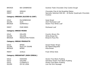| <b>BRONZE</b>         | <b>BIA GANBREISE</b>  | Gookies Triple Chocolate Chip Cookie Dough                                                                           |
|-----------------------|-----------------------|----------------------------------------------------------------------------------------------------------------------|
| MERIT<br><b>MERIT</b> | <b>GENIUS</b><br>ALDI | Chocolate Chip & Oat Breakfast Bakes<br>Specially Selected HAS NO - All Butter Quadruple Chocolate<br><b>Cookies</b> |
|                       |                       |                                                                                                                      |

#### Category: BREADS (SLICED & LOAF)

| GOLD          | MCCAMBRIDGE      | Soda Bread                  |
|---------------|------------------|-----------------------------|
| <b>SILVER</b> | AL DT            | <b>Zilch Multiseed Loaf</b> |
| <b>BRONZE</b> | <b>SUPERVALU</b> | Gluten Free White Loaf      |
| MERIT         | PURE BRED        | <b>Multiseed Loaf</b>       |

#### Category: BREAD MIXES

| <b>GOLD</b>   | <b>ODLUMS</b>   | <b>Country Brown Mix</b> |
|---------------|-----------------|--------------------------|
| <b>SILVER</b> | <b>ODLUMS</b>   | White Bread Mix          |
| <b>BRONZE</b> | MIDDLETON FOODS | Bread & Pizza Mix        |

#### Category: BREAD PRODUCTS

| GOLD          | <b>BFREE</b>         | <b>Sweet Potato Wraps</b> |
|---------------|----------------------|---------------------------|
| <b>SILVER</b> | <b>RULE OF CRUMB</b> | Par Baked Baguette        |
| <b>BRONZE</b> | <b>BFREE</b>         | Pitta Bread               |
| MERIT         | <b>JUVELA</b>        | Fresh White Rolls         |

#### Category: BREAKFAST (NON CEREAL)

| <b>GOLD</b>   | HODGINS           | Gluten Free Black Pudding          |
|---------------|-------------------|------------------------------------|
| <b>GOLD</b>   | ICELAND           | Glendara Gluten Free Black Pudding |
| <b>GOLD</b>   | <b>CLONAKILTY</b> | Gluten Free Black Pudding          |
| <b>SILVER</b> | OH SO LEAN        | Low Fat Pork Sausage               |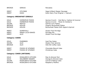| <b>BRONZE</b>                    | <b>GENIUS</b>                      | Pancakes                                     |  |  |
|----------------------------------|------------------------------------|----------------------------------------------|--|--|
| <b>MERIT</b>                     | O'FLYNNS                           | Sage & Black Pepper Sausage                  |  |  |
| <b>MERIT</b>                     | <b>KOKO</b>                        | KoKo Dairy Free Original + Calcium           |  |  |
|                                  | <b>Category: BREAKFAST CEREALS</b> |                                              |  |  |
| <b>GOLD</b>                      | <b>HOMESPUN FOODS</b>              | Quinoa Crunch - Goji Berry, Cashew & Coconut |  |  |
| <b>GOLD</b>                      | <b>HOMESPUN FOODS</b>              | Quinoa Crunch - Pecan & Cranberry            |  |  |
| <b>SILVER</b>                    | <b>NESTLE</b>                      | <b>GoFree Corn Flakes</b>                    |  |  |
| <b>BRONZE</b>                    | <b>KELKIN</b>                      | <b>Organic Buckwheat Flakes</b>              |  |  |
| <b>BRONZE</b>                    | <b>KELKIN</b>                      | Buckwheat Flakes With Apple & Apricot        |  |  |
| <b>MERIT</b>                     | <b>SUPERVALU</b>                   | Gluten Free Porridge                         |  |  |
| <b>MERIT</b>                     | <b>MARIA LUCIA BAKES</b>           | Porridge Pot                                 |  |  |
| <b>MERIT</b>                     | <b>ALDI</b>                        | Gluten Free Porridge                         |  |  |
|                                  | <b>Category: CAKES</b>             |                                              |  |  |
| <b>GOLD</b>                      | <b>PUREBRED</b>                    | <b>Iced Tea Cakes</b>                        |  |  |
| <b>SILVER</b>                    | <b>ALDI</b>                        | Gluten Free Jammie                           |  |  |
| <b>BRONZE</b>                    | <b>ALDI</b>                        | <b>HAS NO Coffee Cake</b>                    |  |  |
| <b>MERIT</b>                     | <b>FOODS OF ATHENRY</b>            | <b>Chocolate Biscuit Cake</b>                |  |  |
| <b>MERIT</b>                     | <b>FOODS OF ATHENRY</b>            | <b>Christmas Cake</b>                        |  |  |
| <b>Category: CAKES (ARTISAN)</b> |                                    |                                              |  |  |
| <b>GOLD</b>                      | <b>ROSALEEN'S KITCHEN</b>          | Pear & Almond Tart                           |  |  |
| <b>GOLD</b>                      | <b>WILDBERRY BAKERY</b>            | Orange & Almond Cake                         |  |  |
| SILVER                           | <b>ROSALEEN'S KITCHEN</b>          | Carrot & Walnut Cake                         |  |  |
| <b>BRONZE</b>                    | <b>ROSALEEN'S KITCHEN</b>          | <b>Raspberry Muffins</b>                     |  |  |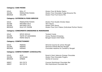#### Category: CAKE MIXES

| <b>GOLD</b>   | ROLL IT         | Gluten Free All Butter Pastry           |
|---------------|-----------------|-----------------------------------------|
| <b>SILVER</b> | MIDDLETON FOODS | Gluten Free Chocolate Fudge Brownie Mix |
| <b>BRONZE</b> | <b>ODLUMS</b>   | <b>Gluten Free Fruit Scone Mix</b>      |

#### Category: CATERING & FOOD SERVICE

| <b>GOLD</b>   | MIDDLETON FOODS      | Gluten Free Double Smoke Glaze                     |
|---------------|----------------------|----------------------------------------------------|
| <b>SILVER</b> | NATURES OILS         | Taco Sauce                                         |
| <b>SILVER</b> | NATURES OILS         | Sweet Chilli Sauce                                 |
| <b>BRONZE</b> | <b>RULE OF CRUMB</b> | Gluten Free Corn Flakes (Individual Portion Packs) |

#### Category: CONDIMENTS DRESSINGS & MARINADES

| <b>GOLD</b>   | <b>SPICE DEVILS</b>      | Twisted Creole             |
|---------------|--------------------------|----------------------------|
| <b>SILVER</b> | <b>TASTE OF GOODNESS</b> | Honey Mustard Dressing     |
| <b>BRONZE</b> | MAMA NAGI'S              | Bengali Sweet Chilli Paste |

#### Category: CONFECTIONERY

| <b>GOLD</b>   | <b>MIENAS</b> | Almond Coconut & Lemon Nougat         |
|---------------|---------------|---------------------------------------|
| <b>SILVER</b> | MIENAS        | Almond & Mixed Berries Nougat         |
| <b>BRONZE</b> | <b>MIENAS</b> | Chocolate Hazelnut & Cranberry Nougat |

#### Category: CONFECTIONERY (CHOCOLATE)

| <b>GOLD</b>   | ALDI         | Roisin's Dark Valencia Orange Chocolate |
|---------------|--------------|-----------------------------------------|
| <b>SILVER</b> | DR SCHAR     | <b>Gluten Free Chocolate Fingers</b>    |
| <b>BRONZE</b> | <b>OMBAR</b> | Vanilla & Coconut                       |
| MERIT         | DR COY'S     | Coconut Nutritional Chocolate Bar       |
| <b>MERIT</b>  | DR COY'S     | Mint Nutritional Chocolate Bar          |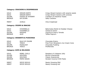# Category: CRACKERS & CRISPBREADS

| <b>GOLD</b>   | <b>ORIGIN EARTH</b>     | Crispy Bread Crackers with sesame seeds |
|---------------|-------------------------|-----------------------------------------|
| <b>GOLD</b>   | <b>ORIGIN EARTH</b>     | Crispy Bread Crackers with caraway      |
| <b>SILVER</b> | <b>FOODS OF ATHENRY</b> | Cranberry & Hazelnut Toasts             |
| <b>BRONZE</b> | DR SCHÄR                | <b>Salty Crackers</b>                   |
|               |                         |                                         |
| MERIT         | <b>JUVELA</b>           | Chia Crispbread                         |

# Category: CRISPS & SNACKS

| GOLD          | O'DONNELLS    | Ballymaloe Relish & Cheddar Cheese |
|---------------|---------------|------------------------------------|
| GOLD          | O'DONNELLS    | Cheese & Onion                     |
| <b>SILVER</b> | <b>KEOGHS</b> | Chorizo & Cherry Tomato            |
| <b>BRONZE</b> | ALDI          | Toffee Popcorn                     |
|               |               |                                    |

#### Category: DESSERTS & PUDDINGS

| GOLD   | <b>RULE OF CRUMB</b> | <b>Chocolate Eclairs</b>            |
|--------|----------------------|-------------------------------------|
| GOLD   | TESCO                | Free From Strawberry Ice Cream Cone |
| SILVER | <b>PUDOLOGY</b>      | Chocolate Pudding                   |
| BRONZE | <b>TESCO</b>         | <b>Profiteroles</b>                 |

# Category: DIPS & RELISHES

| GOLD          | <b>REBEL CHILLI</b> | Raspberry & Jalapeno Jelly   |
|---------------|---------------------|------------------------------|
| <b>SILVER</b> | <b>SOLPURO</b>      | <b>Brunch Guacamole</b>      |
| <b>SILVER</b> | <b>SOLPURO</b>      | Classic Guacamole            |
| <b>BRONZE</b> | <b>MAMA NAGIS</b>   | Keralan Coconut Chilli Paste |
| <b>MERIT</b>  | <b>SPICE DEVILS</b> | <b>Nawty Dressing Mild</b>   |
| <b>MERIT</b>  | <b>SPICE DEVILS</b> | Nawty Dressing Hot           |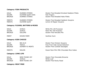# Category: FISH PRODUCTS

| <b>GOLD</b>   | <b>DUNNES STORES</b> | Gluten Free Breaded Smoked Haddock Fillets |
|---------------|----------------------|--------------------------------------------|
| <b>SILVER</b> | KILMORE QUAY KIDS    | Fish Fingers                               |
| <b>BRONZE</b> | <b>DUNNES STORES</b> | <b>Gluten Free Breaded Hake Fillets</b>    |
| <b>MERITS</b> | <b>DUNNES STORES</b> | Gluten Free Breaded Haddock Goujons        |
| <b>MERITS</b> | <b>KILMORE QUAY</b>  | Lemon & Pepper Goujons                     |

# Category: FLOURS, BATTERS & MIXES

| <b>GOLD</b>   | <b>JUVELA</b> | White Mix (All Purpose) |
|---------------|---------------|-------------------------|
| <b>SILVER</b> | JUVELA        | Fibre Mix (All Purpose) |
| <b>BRONZE</b> | <b>ODLUMS</b> | Gluten Free Pancake Mix |
| MERIT         | DOVES FARM    | Xanthan Gum             |

#### Category: KIDS CHOICE

| <b>GOLD</b>   | BIG AL'S               | Gluten Free Chicken Goujons               |
|---------------|------------------------|-------------------------------------------|
| <b>SILVER</b> | <b>TESCO</b>           | Free From Kids Cereal Selection           |
| <b>BRONZE</b> | <b>DOHERTY'S MEATS</b> | <b>Gluten Free Cocktail Sausages</b>      |
| <b>MERITS</b> | <b>KELKIN</b>          | Snack Pack Mini Milk Chocolate Rice Cakes |

# Category: LONG LIFE

| <b>GOLD</b>   | NEW FOUND JOY | Gluten Free Chocolate Brownie |
|---------------|---------------|-------------------------------|
| <b>SILVER</b> | JUVELA        | White Loaf                    |
| <b>BRONZE</b> | NEW FOUND JOY | Gluten Free Rocky Road        |

# Category: MEAT FREE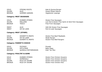| <b>GOLD</b>   | <b>STRONG ROOTS</b>  | Kale & Quinoa Burger |
|---------------|----------------------|----------------------|
| <b>SILVER</b> | ALDI                 | Sweet Potato Pakora  |
| <b>BRONZE</b> | <b>SUMMER GARDEN</b> | Vegetarian Lasange   |

# Category: MEAT SAUSAGES

| <b>GOLD</b>   | <b>DUNNES STORES</b> | <b>Gluten Free Sausages</b>                       |
|---------------|----------------------|---------------------------------------------------|
| <b>SILVER</b> | <b>MALLONS</b>       | Low Fat & Gluten Free Garlic & Herb Pork Sausages |
| <b>BRONZE</b> | TESCO                | <b>Free From Sausages</b>                         |
| <b>MERIT</b>  | ALDI                 | <b>HAS NO Gluten Free Sausages</b>                |
| <b>MERIT</b>  | OH SO LEAN           | Pork & Leek Sausages                              |

# Category: MEAT (OTHER)

| <b>GOLD</b>   | DOHERTY'S MEATS | <b>Gluten Free Beef Meatballs</b> |
|---------------|-----------------|-----------------------------------|
| <b>SILVER</b> | OH SO LEAN      | Steak Burger                      |
| <b>BRONZE</b> | DOHERTY'S MEATS | Gluten Free Beef Burgers          |

# Category: PARENT'S CHOICE

| <b>GOLD</b>   | PIZZADO                    | Pizzado       |
|---------------|----------------------------|---------------|
| <b>SILVER</b> | PIP & PEAR                 | Baby Ragu     |
| <b>BRONZE</b> | <b>QUINOLA MOTHERGRAIN</b> | Kids' Tex Mex |

# Category: POULTRY & GAME

| <b>GOLD</b>   | <b>DUNNES STORES</b> | Gluten Free Chicken Goujons |
|---------------|----------------------|-----------------------------|
| <b>GOLD</b>   | <b>SUPERVALU</b>     | Gluten Free Chicken Goujons |
| <b>SILVER</b> | <b>RULE OF CRUMB</b> | Gluten Free Chicken Goujons |
| <b>BRONZE</b> | <b>RULE OF CRUMB</b> | Gluten Free Chicken Kiev    |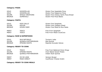#### Category: PIZZA

| <b>GOLD</b>   | <b>GOODFELLAS</b>      | Gluten Free Vegetable Pizza           |
|---------------|------------------------|---------------------------------------|
| <b>GOLD</b>   | <b>GOODFELLAS</b>      | Gluten Free Pepperoni Pizza           |
| <b>SILVER</b> | <b>WHOLE CREATIONS</b> | Gluten Free Cheesy Garlic Pizza Bread |
| <b>BRONZE</b> | <b>SUPERVALU</b>       | Gluten Free Pizza Bases               |

#### Category: PASTA

| <b>GOLD</b>   | <b>RISO GALLO</b> | Gluten Free Spaghetti          |
|---------------|-------------------|--------------------------------|
| <b>SILVER</b> | <b>KELKIN</b>     | Gluten Free Lasagne Sheet      |
| <b>BRONZE</b> | <b>DOVES FARM</b> | Gluten Free Maize & Rice Pasta |
| <b>MERIT</b>  | <b>TESCO</b>      | Free From Spaghetti            |
| <b>MERIT</b>  | TESCO             | Free From Maize CousCous       |

| MERIT | <b>TESCO</b> | Free Fror |
|-------|--------------|-----------|
|       |              |           |

#### Category: RAW & SUPERFOODS

| <b>GOLD</b>   | <b>NUA NATURALS</b> | Turmeric Latte         |
|---------------|---------------------|------------------------|
| <b>SILVER</b> | QUINOLA MOTHERGRAIN | Red Quinoa             |
| <b>BRONZE</b> | <b>STRONG ROOTS</b> | Ripened Avocado Halves |

#### Category: READY TO COOK

| <b>GOLD</b>   | <b>TESCO</b>               | Free From Battered Onion Rings |
|---------------|----------------------------|--------------------------------|
| <b>SILVER</b> | <b>STRONG ROOTS</b>        | Oven Baked Sweet Potato        |
| <b>BRONZE</b> | <b>QUINOLA MOTHERGRAIN</b> | Indian Style Quinoa            |
| MERIT         | OH SO LEAN                 | Venison Burger                 |
| <b>MERIT</b>  | <b>MASH DIRECT</b>         | Cauliflower Cheese Gratin      |

#### Category: READY TO COOK MEALS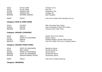| <b>GOLD</b>   | OH SO LEAN                             | Chicken Curry                         |
|---------------|----------------------------------------|---------------------------------------|
| <b>GOLD</b>   | OH SO LEAN                             | <b>Rice Pot</b>                       |
| <b>SILVER</b> | <b>KINSALE BAY</b>                     | Shepherd's Pie                        |
| <b>SILVER</b> | <b>KINSALE BAY</b>                     | Cottage Pie                           |
| <b>BRONZE</b> | <b>SUMMER GARDEN</b>                   | Beef Lasagne                          |
| <b>MERIT</b>  | <b>TESCO</b>                           | Free From Instant Rice Noodle (Curry) |
|               | <b>Category: RICE &amp; CORN CAKES</b> |                                       |
| <b>GOLD</b>   | JACOB'S                                | Milk Chocolate Rice Cakes             |

| GULD          | JACOB S | <b>PIIK UNOCORTE RICE LAKES</b>  |
|---------------|---------|----------------------------------|
| <b>SILVER</b> | KFI KIN | Dark Chocolate & Mint Rice Cakes |
| <b>BRONZE</b> | KFI KIN | Caramel Rice Cake Thins          |

# Category: SAUCES (COOKING)

| <b>GOLD</b>   | SING LI                  | <b>Gluten Free Curry Sauce</b>         |
|---------------|--------------------------|----------------------------------------|
| <b>GOLD</b>   | <b>TASTE OF GOODNESS</b> | Pepper Sauce                           |
| <b>SILVER</b> | <b>PEPPUP</b>            | Roasted Pepper Tomato Pasta Sauce      |
| <b>BRONZE</b> | <b>TESCO</b>             | Free From Red Thai Curry Cooking Sauce |

# Category: SAUCES (POUR OVER)

| <b>GOLD</b>   | <b>TASTE OF GOODNESS</b>  | <b>Barbecue Sauce</b>    |
|---------------|---------------------------|--------------------------|
| <b>GOLD</b>   | <b>REAL GOOD</b>          | Tomato Ketchup           |
| <b>SILVER</b> | <b>TASTE OF GOODNESS</b>  | <b>Secret Sauce</b>      |
| <b>BRONZE</b> | <b>TASTE OF GOODNESS</b>  | Southwest Sauce          |
| <b>BRONZE</b> | <b>DRAGON BRAND FOODS</b> | Southwest Sauce          |
| MERIT         | <b>TESCO</b>              | Free From Tomato Ketchup |

Category: SEASONAL